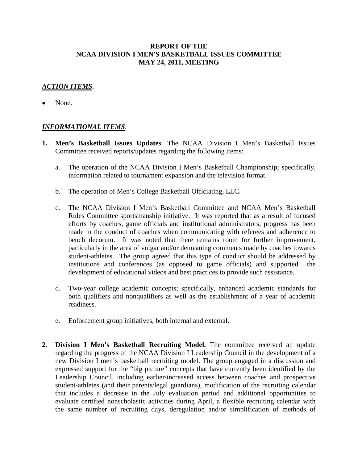## **REPORT OF THE NCAA DIVISION I MEN'S BASKETBALL ISSUES COMMITTEE MAY 24, 2011, MEETING**

## *ACTION ITEMS***.**

None.

## *INFORMATIONAL ITEMS*.

- **1. Men's Basketball Issues Updates**. The NCAA Division I Men's Basketball Issues Committee received reports/updates regarding the following items:
	- a. The operation of the NCAA Division I Men's Basketball Championship; specifically, information related to tournament expansion and the television format.
	- b. The operation of Men's College Basketball Officiating, LLC.
	- c. The NCAA Division I Men's Basketball Committee and NCAA Men's Basketball Rules Committee sportsmanship initiative. It was reported that as a result of focused efforts by coaches, game officials and institutional administrators, progress has been made in the conduct of coaches when communicating with referees and adherence to bench decorum. It was noted that there remains room for further improvement, particularly in the area of vulgar and/or demeaning comments made by coaches towards student-athletes. The group agreed that this type of conduct should be addressed by institutions and conferences (as opposed to game officials) and supported the development of educational videos and best practices to provide such assistance.
	- d. Two-year college academic concepts; specifically, enhanced academic standards for both qualifiers and nonqualifiers as well as the establishment of a year of academic readiness.
	- e. Enforcement group initiatives, both internal and external.
- **2. Division I Men's Basketball Recruiting Model.** The committee received an update regarding the progress of the NCAA Division I Leadership Council in the development of a new Division I men's basketball recruiting model. The group engaged in a discussion and expressed support for the "big picture" concepts that have currently been identified by the Leadership Council, including earlier/increased access between coaches and prospective student-athletes (and their parents/legal guardians), modification of the recruiting calendar that includes a decrease in the July evaluation period and additional opportunities to evaluate certified nonscholastic activities during April, a flexible recruiting calendar with the same number of recruiting days, deregulation and/or simplification of methods of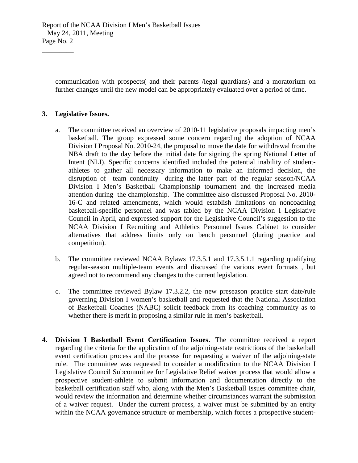communication with prospects( and their parents /legal guardians) and a moratorium on further changes until the new model can be appropriately evaluated over a period of time.

## **3. Legislative Issues.**

 $\overline{\phantom{a}}$  , where  $\overline{\phantom{a}}$ 

- a. The committee received an overview of 2010-11 legislative proposals impacting men's basketball. The group expressed some concern regarding the adoption of NCAA Division I Proposal No. 2010-24, the proposal to move the date for withdrawal from the NBA draft to the day before the initial date for signing the spring National Letter of Intent (NLI). Specific concerns identified included the potential inability of studentathletes to gather all necessary information to make an informed decision, the disruption of team continuity during the latter part of the regular season/NCAA Division I Men's Basketball Championship tournament and the increased media attention during the championship. The committee also discussed Proposal No. 2010- 16-C and related amendments, which would establish limitations on noncoaching basketball-specific personnel and was tabled by the NCAA Division I Legislative Council in April, and expressed support for the Legislative Council's suggestion to the NCAA Division I Recruiting and Athletics Personnel Issues Cabinet to consider alternatives that address limits only on bench personnel (during practice and competition).
- b. The committee reviewed NCAA Bylaws 17.3.5.1 and 17.3.5.1.1 regarding qualifying regular-season multiple-team events and discussed the various event formats , but agreed not to recommend any changes to the current legislation.
- c. The committee reviewed Bylaw 17.3.2.2, the new preseason practice start date/rule governing Division I women's basketball and requested that the National Association of Basketball Coaches (NABC) solicit feedback from its coaching community as to whether there is merit in proposing a similar rule in men's basketball.
- **4. Division I Basketball Event Certification Issues.** The committee received a report regarding the criteria for the application of the adjoining-state restrictions of the basketball event certification process and the process for requesting a waiver of the adjoining-state rule. The committee was requested to consider a modification to the NCAA Division I Legislative Council Subcommittee for Legislative Relief waiver process that would allow a prospective student-athlete to submit information and documentation directly to the basketball certification staff who, along with the Men's Basketball Issues committee chair, would review the information and determine whether circumstances warrant the submission of a waiver request. Under the current process, a waiver must be submitted by an entity within the NCAA governance structure or membership, which forces a prospective student-